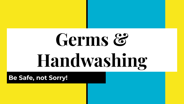# Germs & **Handwashing**

**Be Safe, not Sorry!**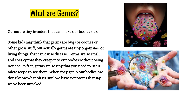## What are Germs?

Germs are tiny invaders that can make our bodies sick.

Some kids may think that germs are bugs or cooties or other gross stuff, but actually germs are tiny organisms, or living things, that can cause disease. Germs are so small and sneaky that they creep into our bodies without being noticed. In fact, germs are so tiny that you need to use a microscope to see them. When they get in our bodies, we don't know what hit us until we have symptoms that say we've been attacked!



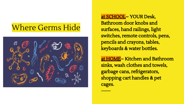#### Where Germs Hide



at SCHOOL~ YOUR Desk, Bathroom door knobs and surfaces, hand railings, light switches, remote controls, pens, pencils and crayons, tables, keyboards & water bottles.

at HOME~ Kitchen and Bathroom sinks, wash clothes and towels, garbage cans, refrigerators, shopping cart handles & pet cages.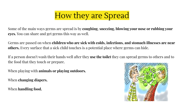## How they are Spread

Some of the main ways germs are spread is by **coughing**, **sneezing, blowing your nose or rubbing your eyes.** You can share and get germs this way as well.

Germs are passed on when **children who are sick with colds, infections, and stomach illnesses are near others.** Every surface that a sick child touches is a potential place where germs can hide.

If a person doesn't wash their hands well after they **use the toilet** they can spread germs to others and to the food that they touch or prepare.

When playing with **animals or playing outdoors.**

When **changing diapers.**

When **handling food.** 

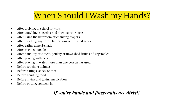#### When Should I Wash my Hands?

- After arriving to school or work
- After coughing, sneezing and blowing your nose
- After using the bathroom or changing diapers
- After touching any sores, lacerations or infected areas
- After eating a meal/snack
- After playing outside
- After handling raw meat/poultry or unwashed fruits and vegetables
- After playing with pets
- After playing in water more than one person has used
- Before touching animals
- Before eating a snack or meal
- Before handling food
- Before giving and taking medication
- Before putting contacts in

#### *If you're hands and fingernails are dirty!!*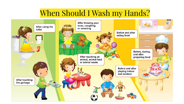## When Should I Wash my Hands?

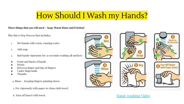#### How Should I Wash my Hands?

#### **Three things that you will need ~ Soap, Warm Water and Friction!**

Plus this 6 Step Process that includes:

- 1. Wet hands with warm, running water
- 2. Add soap
- 3. Rub hands vigorously for 20 seconds washing all surfaces
- Front and Backs of hands
- **Wrists**
- Between finger and tips of fingers
- Under fingernails
- **Thumbs**

4. Rinse ~ Keeping fingers pointing down

5. Dry vigorously with paper or clean cloth towel.

6. Turn off faucet with towel.



#### [Hand-washing Video](https://youtu.be/T98gqC-yanU)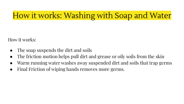## How it works: Washing with Soap and Water

How it works:

- The soap suspends the dirt and soils
- The friction motion helps pull dirt and grease or oily soils from the skin
- Warm running water washes away suspended dirt and soils that trap germs
- Final Friction of wiping hands removes more germs.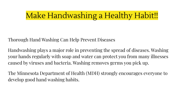#### Make Handwashing a Healthy Habit!!

Thorough Hand Washing Can Help Prevent Diseases

Handwashing plays a major role in preventing the spread of diseases. Washing your hands regularly with soap and water can protect you from many illnesses caused by viruses and bacteria. Washing removes germs you pick up.

The Minnesota Department of Health (MDH) strongly encourages everyone to develop good hand washing habits.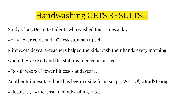#### Handwashing GETS RESULTS!!!

Study of 305 Detroit students who washed four times a day:

• 24% fewer colds and 51% less stomach upset.

Minnesota daycare-teachers helped the kids wash their hands every morning when they arrived and the staff disinfected all areas.

• Result was 50% fewer illnesses at daycare.

Another Minnesota school has begun using foam soap. ( WE DO!) #**RailStrong**

• Result is  $75\%$  increase in handwashing rates.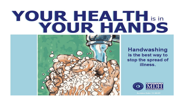## YOUR HEALTH is in YOUR HANDS



**Handwashing** is the best way to stop the spread of illness.



Revision Date: 11/20/09